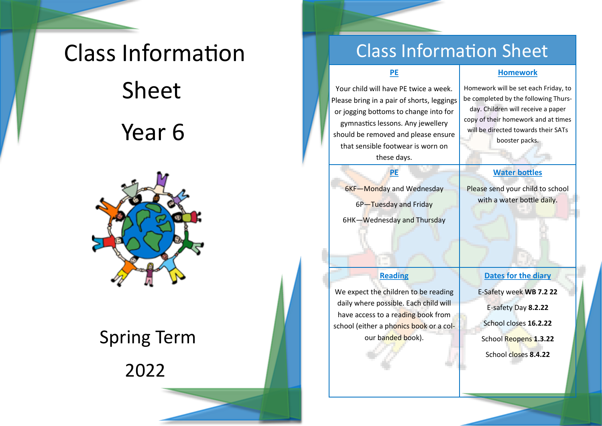# Class Information Sheet Year 6



# Spring Term

2022

## Class Information Sheet

#### **PE**

Your child will have PE twice a week. Please bring in a pair of shorts, leggings or jogging bottoms to change into for gymnastics lessons. Any jewellery should be removed and please ensure that sensible footwear is worn on these days.

6KF—Monday and Wednesday 6P-Tuesday and Friday 6HK—Wednesday and Thursday

**PE**

#### **Homework**

Homework will be set each Friday, to be completed by the following Thursday. Children will receive a paper copy of their homework and at times will be directed towards their SATs booster packs.

#### **Water bottles**

Please send your child to school with a water bottle daily.

#### **Reading**

We expect the children to be reading daily where possible. Each child will have access to a reading book from school (either a phonics book or a colour banded book).

**Dates for the diary** 

E-Safety week **WB 7.2 22**

E-safety Day **8.2.22**

School closes **16.2.22** 

School Reopens **1.3.22** School closes **8.4.22**